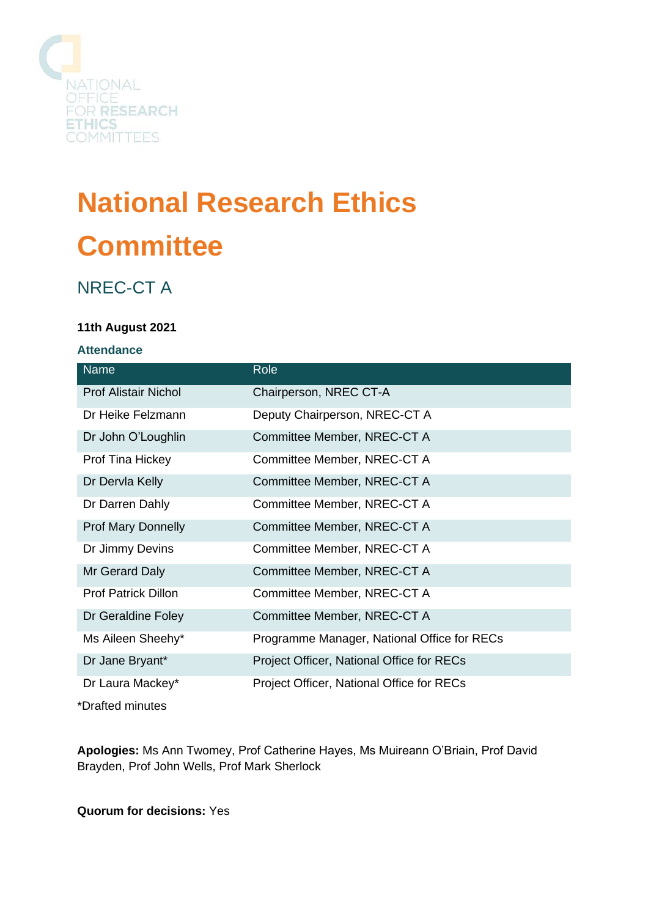

# **National Research Ethics Committee**

# NREC-CT A

#### **11th August 2021**

#### **Attendance**

| <b>Name</b>                 | Role                                        |
|-----------------------------|---------------------------------------------|
| <b>Prof Alistair Nichol</b> | Chairperson, NREC CT-A                      |
| Dr Heike Felzmann           | Deputy Chairperson, NREC-CT A               |
| Dr John O'Loughlin          | Committee Member, NREC-CT A                 |
| Prof Tina Hickey            | Committee Member, NREC-CT A                 |
| Dr Dervla Kelly             | Committee Member, NREC-CT A                 |
| Dr Darren Dahly             | Committee Member, NREC-CT A                 |
| <b>Prof Mary Donnelly</b>   | Committee Member, NREC-CT A                 |
| Dr Jimmy Devins             | Committee Member, NREC-CT A                 |
| Mr Gerard Daly              | Committee Member, NREC-CT A                 |
| <b>Prof Patrick Dillon</b>  | Committee Member, NREC-CT A                 |
| Dr Geraldine Foley          | Committee Member, NREC-CT A                 |
| Ms Aileen Sheehy*           | Programme Manager, National Office for RECs |
| Dr Jane Bryant*             | Project Officer, National Office for RECs   |
| Dr Laura Mackey*            | Project Officer, National Office for RECs   |
| $*Draffod minimum$          |                                             |

\*Drafted minutes

**Apologies:** Ms Ann Twomey, Prof Catherine Hayes, Ms Muireann O'Briain, Prof David Brayden, Prof John Wells, Prof Mark Sherlock

**Quorum for decisions:** Yes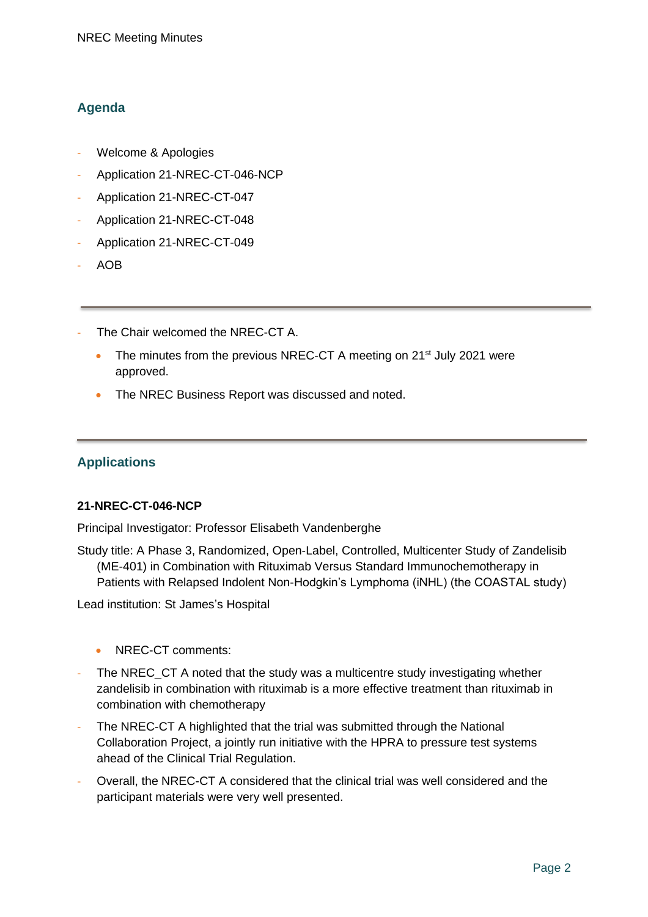## **Agenda**

- Welcome & Apologies
- Application 21-NREC-CT-046-NCP
- Application 21-NREC-CT-047
- Application 21-NREC-CT-048
- Application 21-NREC-CT-049
- AOB
- The Chair welcomed the NREC-CT A.
	- The minutes from the previous NREC-CT A meeting on 21<sup>st</sup> July 2021 were approved.
	- The NREC Business Report was discussed and noted.

# **Applications**

#### **21-NREC-CT-046-NCP**

Principal Investigator: Professor Elisabeth Vandenberghe

Study title: A Phase 3, Randomized, Open-Label, Controlled, Multicenter Study of Zandelisib (ME-401) in Combination with Rituximab Versus Standard Immunochemotherapy in Patients with Relapsed Indolent Non-Hodgkin's Lymphoma (iNHL) (the COASTAL study)

Lead institution: St James's Hospital

- NREC-CT comments:
- The NREC\_CT A noted that the study was a multicentre study investigating whether zandelisib in combination with rituximab is a more effective treatment than rituximab in combination with chemotherapy
- The NREC-CT A highlighted that the trial was submitted through the National Collaboration Project, a jointly run initiative with the HPRA to pressure test systems ahead of the Clinical Trial Regulation.
- Overall, the NREC-CT A considered that the clinical trial was well considered and the participant materials were very well presented.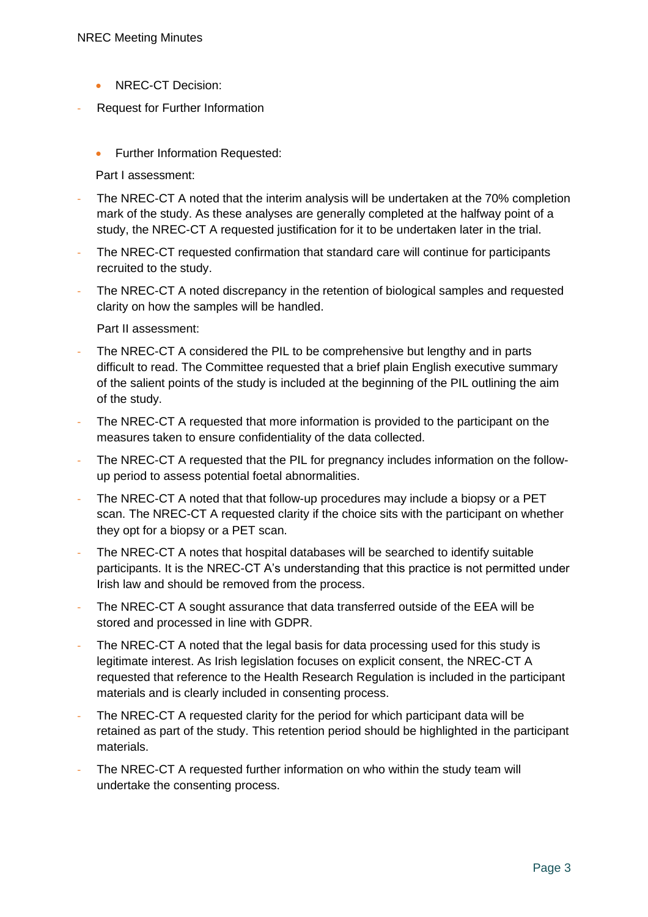- NREC-CT Decision:
- Request for Further Information
	- Further Information Requested:

Part I assessment:

- The NREC-CT A noted that the interim analysis will be undertaken at the 70% completion mark of the study. As these analyses are generally completed at the halfway point of a study, the NREC-CT A requested justification for it to be undertaken later in the trial.
- The NREC-CT requested confirmation that standard care will continue for participants recruited to the study.
- The NREC-CT A noted discrepancy in the retention of biological samples and requested clarity on how the samples will be handled.

Part II assessment:

- The NREC-CT A considered the PIL to be comprehensive but lengthy and in parts difficult to read. The Committee requested that a brief plain English executive summary of the salient points of the study is included at the beginning of the PIL outlining the aim of the study.
- The NREC-CT A requested that more information is provided to the participant on the measures taken to ensure confidentiality of the data collected.
- The NREC-CT A requested that the PIL for pregnancy includes information on the followup period to assess potential foetal abnormalities.
- The NREC-CT A noted that that follow-up procedures may include a biopsy or a PET scan. The NREC-CT A requested clarity if the choice sits with the participant on whether they opt for a biopsy or a PET scan.
- The NREC-CT A notes that hospital databases will be searched to identify suitable participants. It is the NREC-CT A's understanding that this practice is not permitted under Irish law and should be removed from the process.
- The NREC-CT A sought assurance that data transferred outside of the EEA will be stored and processed in line with GDPR.
- The NREC-CT A noted that the legal basis for data processing used for this study is legitimate interest. As Irish legislation focuses on explicit consent, the NREC-CT A requested that reference to the Health Research Regulation is included in the participant materials and is clearly included in consenting process.
- The NREC-CT A requested clarity for the period for which participant data will be retained as part of the study. This retention period should be highlighted in the participant materials.
- The NREC-CT A requested further information on who within the study team will undertake the consenting process.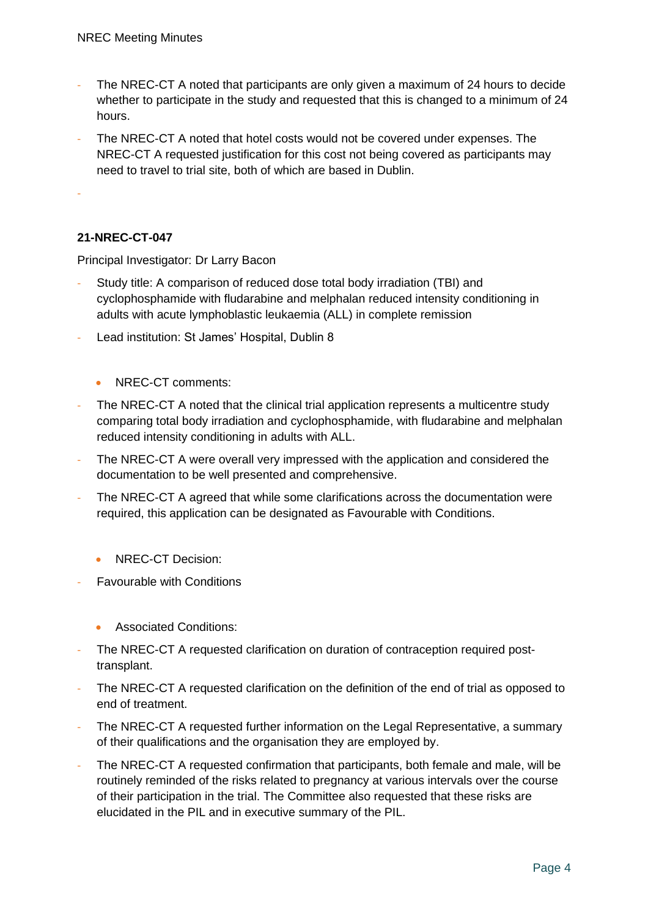- The NREC-CT A noted that participants are only given a maximum of 24 hours to decide whether to participate in the study and requested that this is changed to a minimum of 24 hours.
- The NREC-CT A noted that hotel costs would not be covered under expenses. The NREC-CT A requested justification for this cost not being covered as participants may need to travel to trial site, both of which are based in Dublin.

-

## **21-NREC-CT-047**

Principal Investigator: Dr Larry Bacon

- Study title: A comparison of reduced dose total body irradiation (TBI) and cyclophosphamide with fludarabine and melphalan reduced intensity conditioning in adults with acute lymphoblastic leukaemia (ALL) in complete remission
- Lead institution: St James' Hospital, Dublin 8
	- NREC-CT comments:
- The NREC-CT A noted that the clinical trial application represents a multicentre study comparing total body irradiation and cyclophosphamide, with fludarabine and melphalan reduced intensity conditioning in adults with ALL.
- The NREC-CT A were overall very impressed with the application and considered the documentation to be well presented and comprehensive.
- The NREC-CT A agreed that while some clarifications across the documentation were required, this application can be designated as Favourable with Conditions.
	- NREC-CT Decision:
- Favourable with Conditions
	- Associated Conditions:
- The NREC-CT A requested clarification on duration of contraception required posttransplant.
- The NREC-CT A requested clarification on the definition of the end of trial as opposed to end of treatment.
- The NREC-CT A requested further information on the Legal Representative, a summary of their qualifications and the organisation they are employed by.
- The NREC-CT A requested confirmation that participants, both female and male, will be routinely reminded of the risks related to pregnancy at various intervals over the course of their participation in the trial. The Committee also requested that these risks are elucidated in the PIL and in executive summary of the PIL.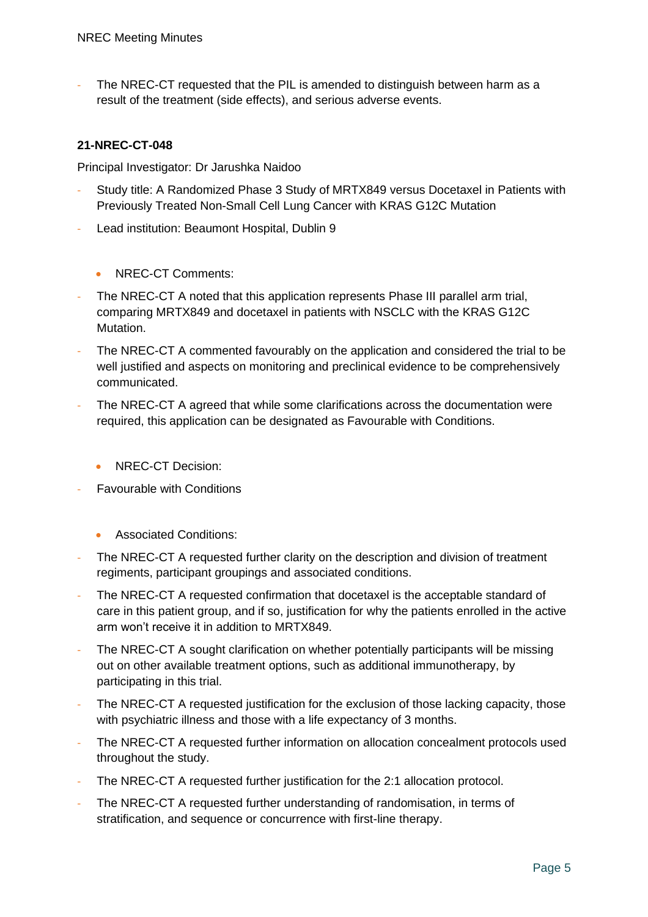The NREC-CT requested that the PIL is amended to distinguish between harm as a result of the treatment (side effects), and serious adverse events.

#### **21-NREC-CT-048**

Principal Investigator: Dr Jarushka Naidoo

- Study title: A Randomized Phase 3 Study of MRTX849 versus Docetaxel in Patients with Previously Treated Non-Small Cell Lung Cancer with KRAS G12C Mutation
- Lead institution: Beaumont Hospital, Dublin 9
	- NREC-CT Comments:
- The NREC-CT A noted that this application represents Phase III parallel arm trial, comparing MRTX849 and docetaxel in patients with NSCLC with the KRAS G12C Mutation.
- The NREC-CT A commented favourably on the application and considered the trial to be well justified and aspects on monitoring and preclinical evidence to be comprehensively communicated.
- The NREC-CT A agreed that while some clarifications across the documentation were required, this application can be designated as Favourable with Conditions.
	- NREC-CT Decision:
- **Favourable with Conditions** 
	- Associated Conditions:
- The NREC-CT A requested further clarity on the description and division of treatment regiments, participant groupings and associated conditions.
- The NREC-CT A requested confirmation that docetaxel is the acceptable standard of care in this patient group, and if so, justification for why the patients enrolled in the active arm won't receive it in addition to MRTX849.
- The NREC-CT A sought clarification on whether potentially participants will be missing out on other available treatment options, such as additional immunotherapy, by participating in this trial.
- The NREC-CT A requested justification for the exclusion of those lacking capacity, those with psychiatric illness and those with a life expectancy of 3 months.
- The NREC-CT A requested further information on allocation concealment protocols used throughout the study.
- The NREC-CT A requested further justification for the 2:1 allocation protocol.
- The NREC-CT A requested further understanding of randomisation, in terms of stratification, and sequence or concurrence with first-line therapy.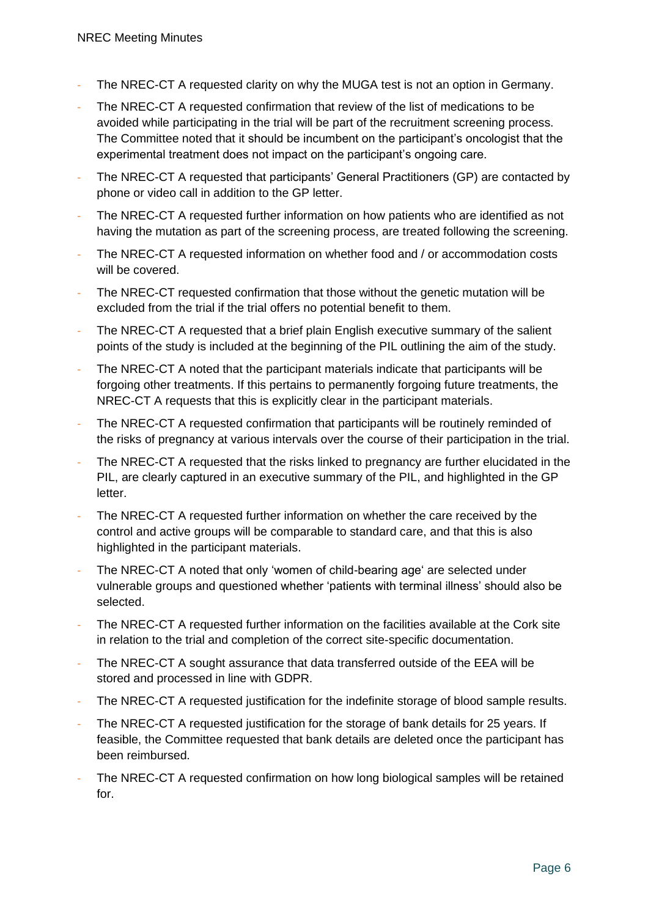- The NREC-CT A requested clarity on why the MUGA test is not an option in Germany.
- The NREC-CT A requested confirmation that review of the list of medications to be avoided while participating in the trial will be part of the recruitment screening process. The Committee noted that it should be incumbent on the participant's oncologist that the experimental treatment does not impact on the participant's ongoing care.
- The NREC-CT A requested that participants' General Practitioners (GP) are contacted by phone or video call in addition to the GP letter.
- The NREC-CT A requested further information on how patients who are identified as not having the mutation as part of the screening process, are treated following the screening.
- The NREC-CT A requested information on whether food and / or accommodation costs will be covered.
- The NREC-CT requested confirmation that those without the genetic mutation will be excluded from the trial if the trial offers no potential benefit to them.
- The NREC-CT A requested that a brief plain English executive summary of the salient points of the study is included at the beginning of the PIL outlining the aim of the study.
- The NREC-CT A noted that the participant materials indicate that participants will be forgoing other treatments. If this pertains to permanently forgoing future treatments, the NREC-CT A requests that this is explicitly clear in the participant materials.
- The NREC-CT A requested confirmation that participants will be routinely reminded of the risks of pregnancy at various intervals over the course of their participation in the trial.
- The NREC-CT A requested that the risks linked to pregnancy are further elucidated in the PIL, are clearly captured in an executive summary of the PIL, and highlighted in the GP letter.
- The NREC-CT A requested further information on whether the care received by the control and active groups will be comparable to standard care, and that this is also highlighted in the participant materials.
- The NREC-CT A noted that only 'women of child-bearing age' are selected under vulnerable groups and questioned whether 'patients with terminal illness' should also be selected.
- The NREC-CT A requested further information on the facilities available at the Cork site in relation to the trial and completion of the correct site-specific documentation.
- The NREC-CT A sought assurance that data transferred outside of the EEA will be stored and processed in line with GDPR.
- The NREC-CT A requested justification for the indefinite storage of blood sample results.
- The NREC-CT A requested justification for the storage of bank details for 25 years. If feasible, the Committee requested that bank details are deleted once the participant has been reimbursed.
- The NREC-CT A requested confirmation on how long biological samples will be retained for.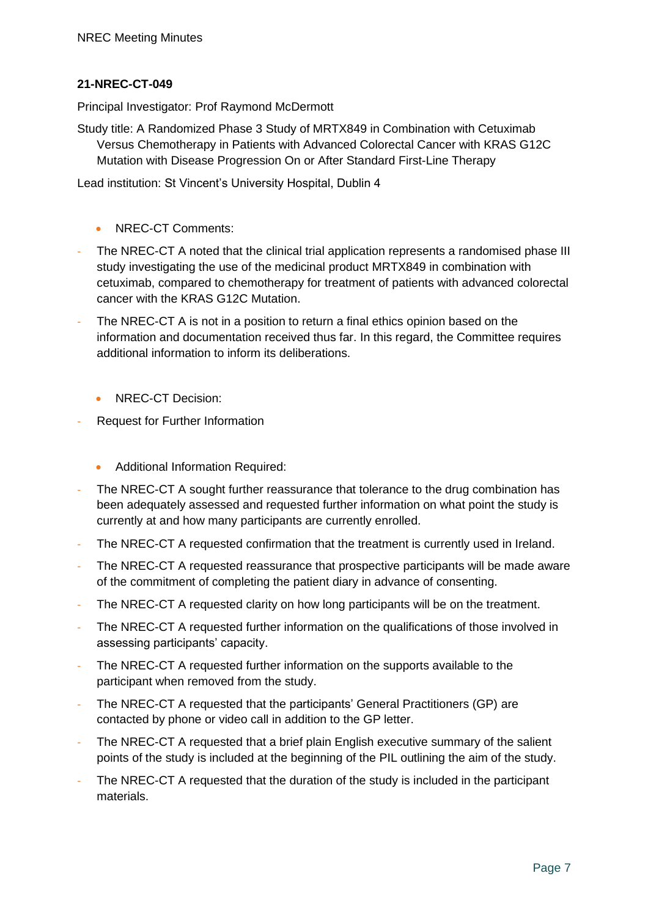#### **21-NREC-CT-049**

Principal Investigator: Prof Raymond McDermott

Study title: A Randomized Phase 3 Study of MRTX849 in Combination with Cetuximab Versus Chemotherapy in Patients with Advanced Colorectal Cancer with KRAS G12C Mutation with Disease Progression On or After Standard First-Line Therapy

Lead institution: St Vincent's University Hospital, Dublin 4

- NREC-CT Comments:
- The NREC-CT A noted that the clinical trial application represents a randomised phase III study investigating the use of the medicinal product MRTX849 in combination with cetuximab, compared to chemotherapy for treatment of patients with advanced colorectal cancer with the KRAS G12C Mutation.
- The NREC-CT A is not in a position to return a final ethics opinion based on the information and documentation received thus far. In this regard, the Committee requires additional information to inform its deliberations.
	- NREC-CT Decision:
- Request for Further Information
	- Additional Information Required:
- The NREC-CT A sought further reassurance that tolerance to the drug combination has been adequately assessed and requested further information on what point the study is currently at and how many participants are currently enrolled.
- The NREC-CT A requested confirmation that the treatment is currently used in Ireland.
- The NREC-CT A requested reassurance that prospective participants will be made aware of the commitment of completing the patient diary in advance of consenting.
- The NREC-CT A requested clarity on how long participants will be on the treatment.
- The NREC-CT A requested further information on the qualifications of those involved in assessing participants' capacity.
- The NREC-CT A requested further information on the supports available to the participant when removed from the study.
- The NREC-CT A requested that the participants' General Practitioners (GP) are contacted by phone or video call in addition to the GP letter.
- The NREC-CT A requested that a brief plain English executive summary of the salient points of the study is included at the beginning of the PIL outlining the aim of the study.
- The NREC-CT A requested that the duration of the study is included in the participant materials.